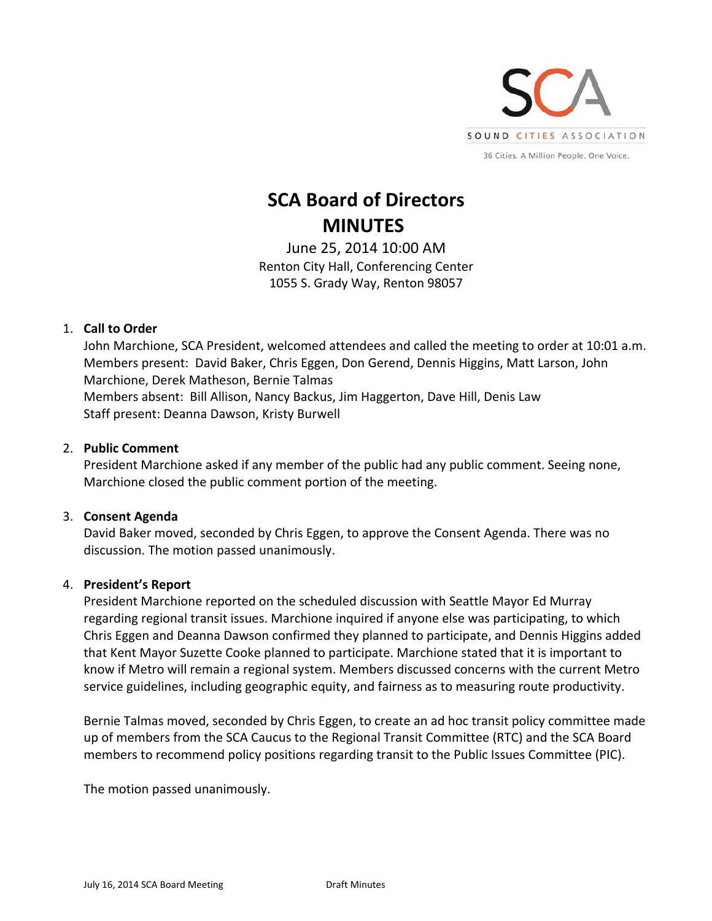

# **SCA Board of Directors MINUTES**

June 25, 2014 10:00 AM Renton City Hall, Conferencing Center 1055 S. Grady Way, Renton 98057

# 1. **Call to Order**

John Marchione, SCA President, welcomed attendees and called the meeting to order at 10:01 a.m. Members present: David Baker, Chris Eggen, Don Gerend, Dennis Higgins, Matt Larson, John Marchione, Derek Matheson, Bernie Talmas Members absent: Bill Allison, Nancy Backus, Jim Haggerton, Dave Hill, Denis Law Staff present: Deanna Dawson, Kristy Burwell

## 2. **Public Comment**

President Marchione asked if any member of the public had any public comment. Seeing none, Marchione closed the public comment portion of the meeting.

#### 3. **Consent Agenda**

David Baker moved, seconded by Chris Eggen, to approve the Consent Agenda. There was no discussion. The motion passed unanimously.

#### 4. **President's Report**

President Marchione reported on the scheduled discussion with Seattle Mayor Ed Murray regarding regional transit issues. Marchione inquired if anyone else was participating, to which Chris Eggen and Deanna Dawson confirmed they planned to participate, and Dennis Higgins added that Kent Mayor Suzette Cooke planned to participate. Marchione stated that it is important to know if Metro will remain a regional system. Members discussed concerns with the current Metro service guidelines, including geographic equity, and fairness as to measuring route productivity.

Bernie Talmas moved, seconded by Chris Eggen, to create an ad hoc transit policy committee made up of members from the SCA Caucus to the Regional Transit Committee (RTC) and the SCA Board members to recommend policy positions regarding transit to the Public Issues Committee (PIC).

The motion passed unanimously.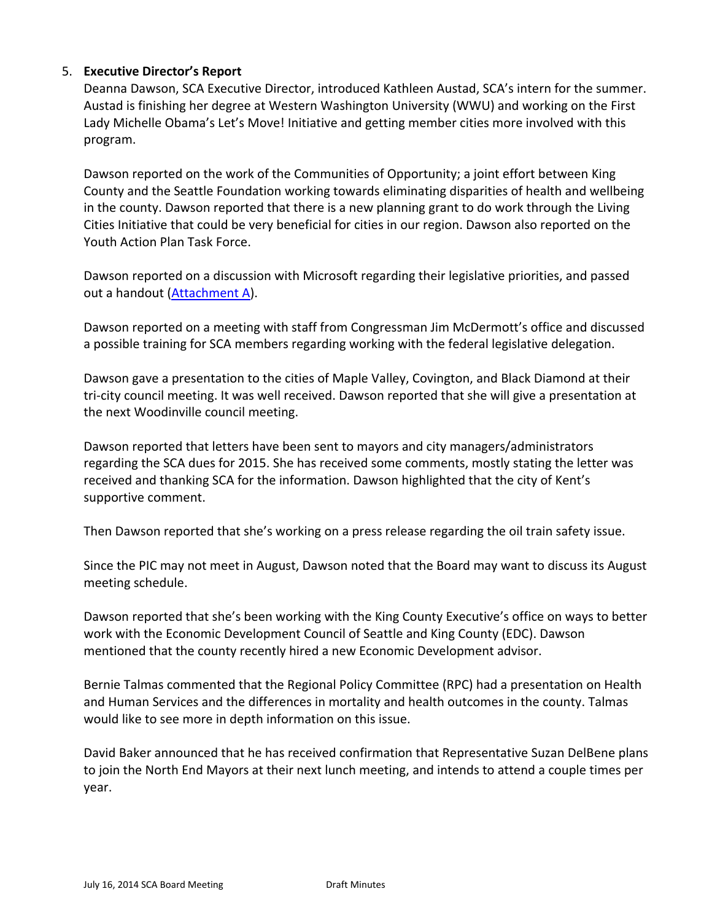## 5. **Executive Director's Report**

Deanna Dawson, SCA Executive Director, introduced Kathleen Austad, SCA's intern for the summer. Austad is finishing her degree at Western Washington University (WWU) and working on the First Lady Michelle Obama's Let's Move! Initiative and getting member cities more involved with this program.

Dawson reported on the work of the Communities of Opportunity; a joint effort between King County and the Seattle Foundation working towards eliminating disparities of health and wellbeing in the county. Dawson reported that there is a new planning grant to do work through the Living Cities Initiative that could be very beneficial for cities in our region. Dawson also reported on the Youth Action Plan Task Force.

Dawson reported on a discussion with Microsoft regarding their legislative priorities, and passed out a handout [\(Attachment](#page-6-0) A).

Dawson reported on a meeting with staff from Congressman Jim McDermott's office and discussed a possible training for SCA members regarding working with the federal legislative delegation.

Dawson gave a presentation to the cities of Maple Valley, Covington, and Black Diamond at their tri-city council meeting. It was well received. Dawson reported that she will give a presentation at the next Woodinville council meeting.

Dawson reported that letters have been sent to mayors and city managers/administrators regarding the SCA dues for 2015. She has received some comments, mostly stating the letter was received and thanking SCA for the information. Dawson highlighted that the city of Kent's supportive comment.

Then Dawson reported that she's working on a press release regarding the oil train safety issue.

Since the PIC may not meet in August, Dawson noted that the Board may want to discuss its August meeting schedule.

Dawson reported that she's been working with the King County Executive's office on ways to better work with the Economic Development Council of Seattle and King County (EDC). Dawson mentioned that the county recently hired a new Economic Development advisor.

Bernie Talmas commented that the Regional Policy Committee (RPC) had a presentation on Health and Human Services and the differences in mortality and health outcomes in the county. Talmas would like to see more in depth information on this issue.

David Baker announced that he has received confirmation that Representative Suzan DelBene plans to join the North End Mayors at their next lunch meeting, and intends to attend a couple times per year.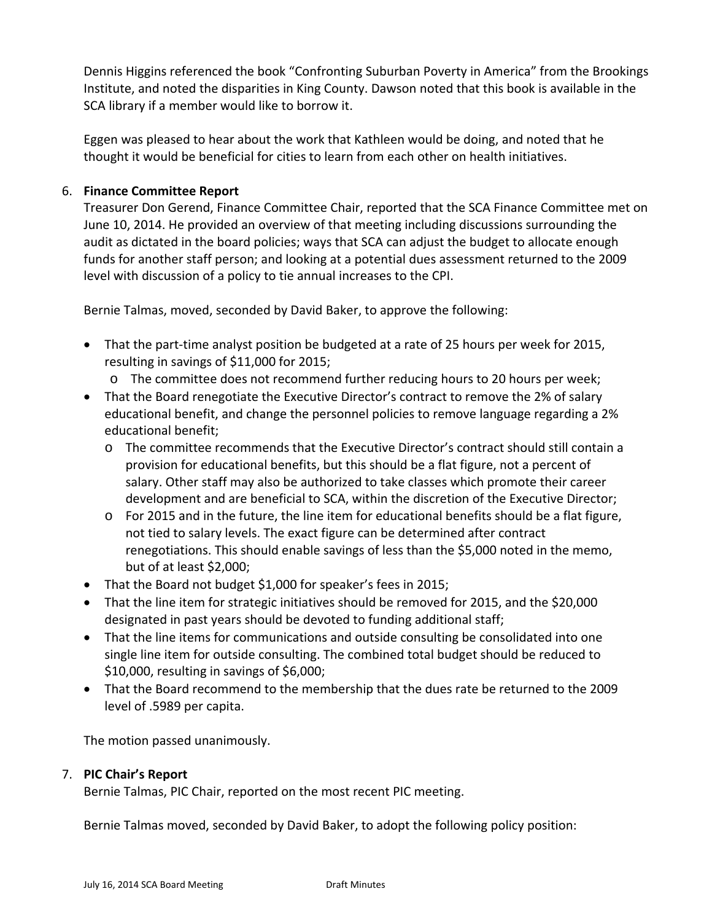Dennis Higgins referenced the book "Confronting Suburban Poverty in America" from the Brookings Institute, and noted the disparities in King County. Dawson noted that this book is available in the SCA library if a member would like to borrow it.

Eggen was pleased to hear about the work that Kathleen would be doing, and noted that he thought it would be beneficial for cities to learn from each other on health initiatives.

# 6. **Finance Committee Report**

Treasurer Don Gerend, Finance Committee Chair, reported that the SCA Finance Committee met on June 10, 2014. He provided an overview of that meeting including discussions surrounding the audit as dictated in the board policies; ways that SCA can adjust the budget to allocate enough funds for another staff person; and looking at a potential dues assessment returned to the 2009 level with discussion of a policy to tie annual increases to the CPI.

Bernie Talmas, moved, seconded by David Baker, to approve the following:

- That the part‐time analyst position be budgeted at a rate of 25 hours per week for 2015, resulting in savings of \$11,000 for 2015;
	- o The committee does not recommend further reducing hours to 20 hours per week;
- That the Board renegotiate the Executive Director's contract to remove the 2% of salary educational benefit, and change the personnel policies to remove language regarding a 2% educational benefit;
	- o The committee recommends that the Executive Director's contract should still contain a provision for educational benefits, but this should be a flat figure, not a percent of salary. Other staff may also be authorized to take classes which promote their career development and are beneficial to SCA, within the discretion of the Executive Director;
	- o For 2015 and in the future, the line item for educational benefits should be a flat figure, not tied to salary levels. The exact figure can be determined after contract renegotiations. This should enable savings of less than the \$5,000 noted in the memo, but of at least \$2,000;
- That the Board not budget \$1,000 for speaker's fees in 2015;
- That the line item for strategic initiatives should be removed for 2015, and the \$20,000 designated in past years should be devoted to funding additional staff;
- That the line items for communications and outside consulting be consolidated into one single line item for outside consulting. The combined total budget should be reduced to \$10,000, resulting in savings of \$6,000;
- That the Board recommend to the membership that the dues rate be returned to the 2009 level of .5989 per capita.

The motion passed unanimously.

#### 7. **PIC Chair's Report**

Bernie Talmas, PIC Chair, reported on the most recent PIC meeting.

Bernie Talmas moved, seconded by David Baker, to adopt the following policy position: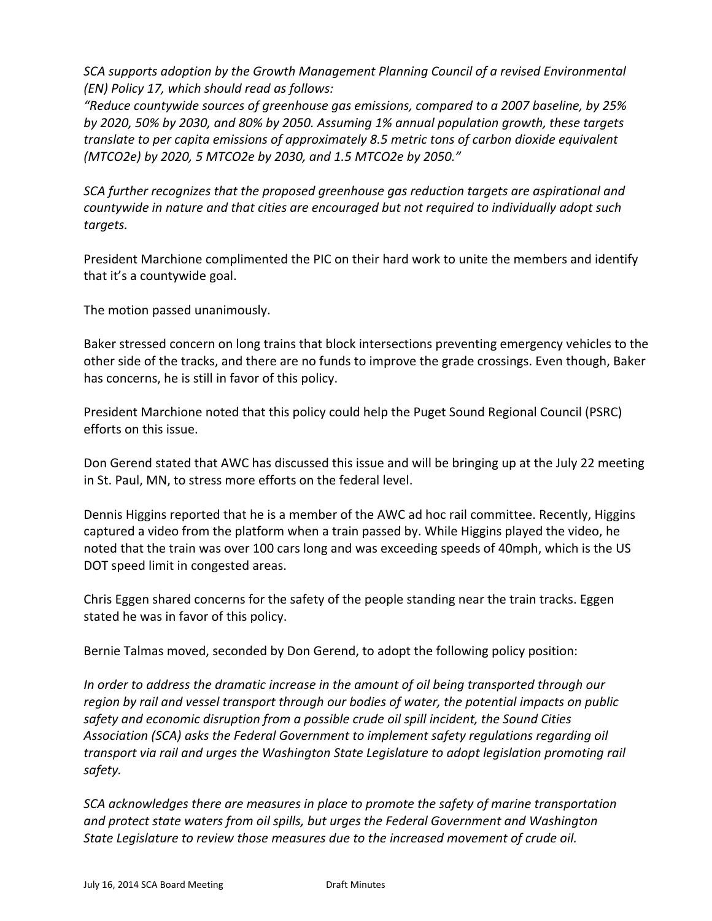*SCA supports adoption by the Growth Management Planning Council of a revised Environmental (EN) Policy 17, which should read as follows:*

*"Reduce countywide sources of greenhouse gas emissions, compared to a 2007 baseline, by 25% by 2020, 50% by 2030, and 80% by 2050. Assuming 1% annual population growth, these targets translate to per capita emissions of approximately 8.5 metric tons of carbon dioxide equivalent (MTCO2e) by 2020, 5 MTCO2e by 2030, and 1.5 MTCO2e by 2050."*

*SCA further recognizes that the proposed greenhouse gas reduction targets are aspirational and countywide in nature and that cities are encouraged but not required to individually adopt such targets.*

President Marchione complimented the PIC on their hard work to unite the members and identify that it's a countywide goal.

The motion passed unanimously.

Baker stressed concern on long trains that block intersections preventing emergency vehicles to the other side of the tracks, and there are no funds to improve the grade crossings. Even though, Baker has concerns, he is still in favor of this policy.

President Marchione noted that this policy could help the Puget Sound Regional Council (PSRC) efforts on this issue.

Don Gerend stated that AWC has discussed this issue and will be bringing up at the July 22 meeting in St. Paul, MN, to stress more efforts on the federal level.

Dennis Higgins reported that he is a member of the AWC ad hoc rail committee. Recently, Higgins captured a video from the platform when a train passed by. While Higgins played the video, he noted that the train was over 100 cars long and was exceeding speeds of 40mph, which is the US DOT speed limit in congested areas.

Chris Eggen shared concerns for the safety of the people standing near the train tracks. Eggen stated he was in favor of this policy.

Bernie Talmas moved, seconded by Don Gerend, to adopt the following policy position:

*In order to address the dramatic increase in the amount of oil being transported through our region by rail and vessel transport through our bodies of water, the potential impacts on public safety and economic disruption from a possible crude oil spill incident, the Sound Cities Association (SCA) asks the Federal Government to implement safety regulations regarding oil transport via rail and urges the Washington State Legislature to adopt legislation promoting rail safety.*

*SCA acknowledges there are measures in place to promote the safety of marine transportation and protect state waters from oil spills, but urges the Federal Government and Washington State Legislature to review those measures due to the increased movement of crude oil.*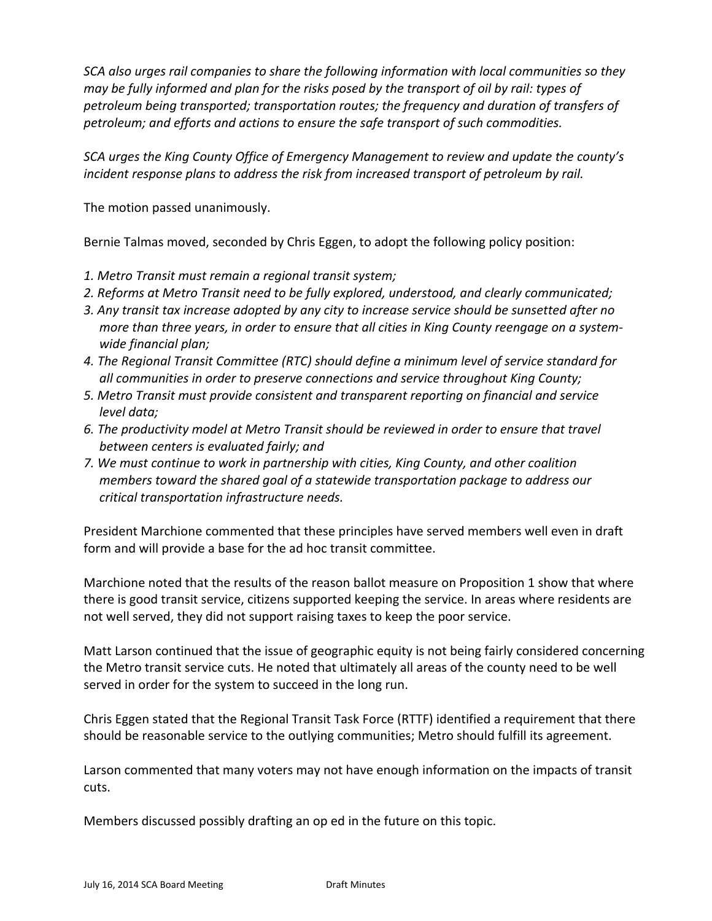*SCA also urges rail companies to share the following information with local communities so they* may be fully informed and plan for the risks posed by the transport of oil by rail: types of *petroleum being transported; transportation routes; the frequency and duration of transfers of petroleum; and efforts and actions to ensure the safe transport of such commodities.*

*SCA urges the King County Office of Emergency Management to review and update the county's incident response plans to address the risk from increased transport of petroleum by rail.*

The motion passed unanimously.

Bernie Talmas moved, seconded by Chris Eggen, to adopt the following policy position:

- *1. Metro Transit must remain a regional transit system;*
- *2. Reforms at Metro Transit need to be fully explored, understood, and clearly communicated;*
- *3. Any transit tax increase adopted by any city to increase service should be sunsetted after no* more than three years, in order to ensure that all cities in King County reengage on a system*wide financial plan;*
- *4. The Regional Transit Committee (RTC) should define a minimum level of service standard for all communities in order to preserve connections and service throughout King County;*
- *5. Metro Transit must provide consistent and transparent reporting on financial and service level data;*
- *6. The productivity model at Metro Transit should be reviewed in order to ensure that travel between centers is evaluated fairly; and*
- *7. We must continue to work in partnership with cities, King County, and other coalition members toward the shared goal of a statewide transportation package to address our critical transportation infrastructure needs.*

President Marchione commented that these principles have served members well even in draft form and will provide a base for the ad hoc transit committee.

Marchione noted that the results of the reason ballot measure on Proposition 1 show that where there is good transit service, citizens supported keeping the service. In areas where residents are not well served, they did not support raising taxes to keep the poor service.

Matt Larson continued that the issue of geographic equity is not being fairly considered concerning the Metro transit service cuts. He noted that ultimately all areas of the county need to be well served in order for the system to succeed in the long run.

Chris Eggen stated that the Regional Transit Task Force (RTTF) identified a requirement that there should be reasonable service to the outlying communities; Metro should fulfill its agreement.

Larson commented that many voters may not have enough information on the impacts of transit cuts.

Members discussed possibly drafting an op ed in the future on this topic.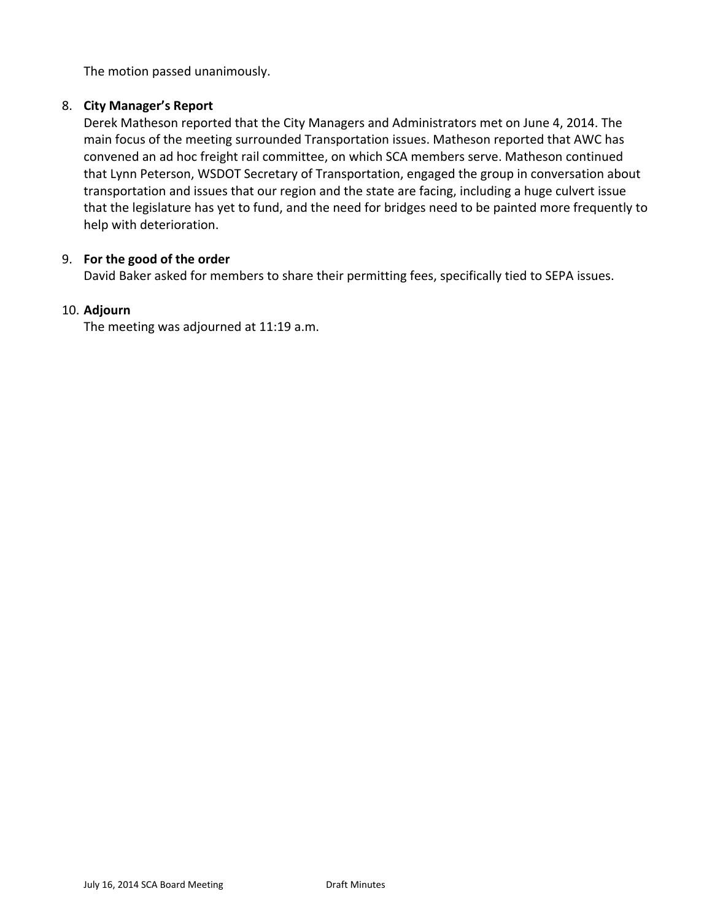The motion passed unanimously.

# 8. **City Manager's Report**

Derek Matheson reported that the City Managers and Administrators met on June 4, 2014. The main focus of the meeting surrounded Transportation issues. Matheson reported that AWC has convened an ad hoc freight rail committee, on which SCA members serve. Matheson continued that Lynn Peterson, WSDOT Secretary of Transportation, engaged the group in conversation about transportation and issues that our region and the state are facing, including a huge culvert issue that the legislature has yet to fund, and the need for bridges need to be painted more frequently to help with deterioration.

# 9. **For the good of the order**

David Baker asked for members to share their permitting fees, specifically tied to SEPA issues.

# 10. **Adjourn**

The meeting was adjourned at 11:19 a.m.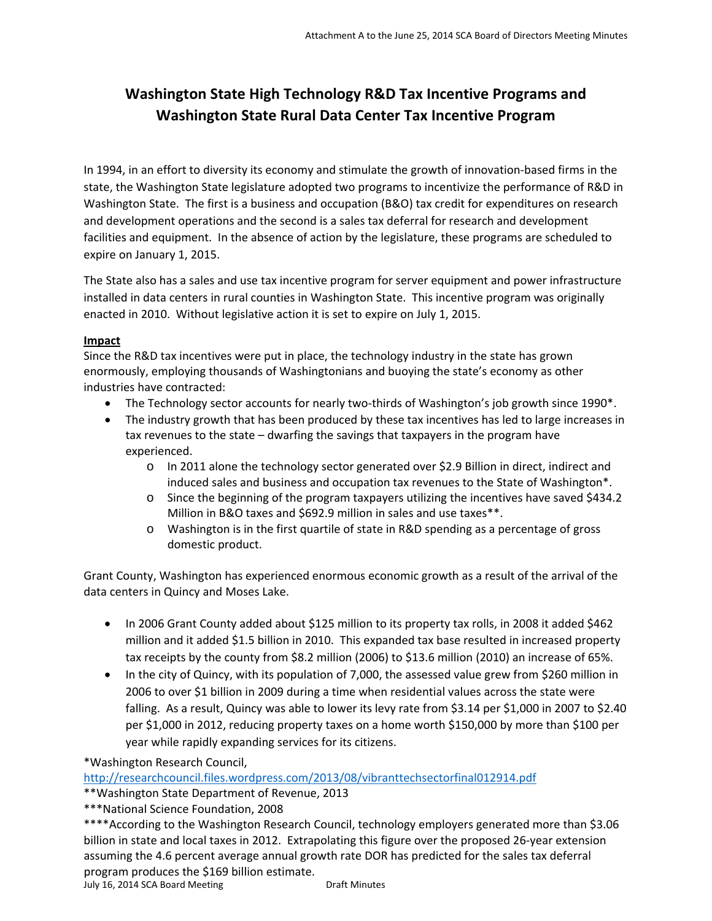# <span id="page-6-0"></span>**Washington State High Technology R&D Tax Incentive Programs and Washington State Rural Data Center Tax Incentive Program**

In 1994, in an effort to diversity its economy and stimulate the growth of innovation‐based firms in the state, the Washington State legislature adopted two programs to incentivize the performance of R&D in Washington State. The first is a business and occupation (B&O) tax credit for expenditures on research and development operations and the second is a sales tax deferral for research and development facilities and equipment. In the absence of action by the legislature, these programs are scheduled to expire on January 1, 2015.

The State also has a sales and use tax incentive program for server equipment and power infrastructure installed in data centers in rural counties in Washington State. This incentive program was originally enacted in 2010. Without legislative action it is set to expire on July 1, 2015.

#### **Impact**

Since the R&D tax incentives were put in place, the technology industry in the state has grown enormously, employing thousands of Washingtonians and buoying the state's economy as other industries have contracted:

- The Technology sector accounts for nearly two-thirds of Washington's job growth since 1990\*.
- The industry growth that has been produced by these tax incentives has led to large increases in tax revenues to the state – dwarfing the savings that taxpayers in the program have experienced.
	- o In 2011 alone the technology sector generated over \$2.9 Billion in direct, indirect and induced sales and business and occupation tax revenues to the State of Washington\*.
	- o Since the beginning of the program taxpayers utilizing the incentives have saved \$434.2 Million in B&O taxes and \$692.9 million in sales and use taxes\*\*.
	- o Washington is in the first quartile of state in R&D spending as a percentage of gross domestic product.

Grant County, Washington has experienced enormous economic growth as a result of the arrival of the data centers in Quincy and Moses Lake.

- In 2006 Grant County added about \$125 million to its property tax rolls, in 2008 it added \$462 million and it added \$1.5 billion in 2010. This expanded tax base resulted in increased property tax receipts by the county from \$8.2 million (2006) to \$13.6 million (2010) an increase of 65%.
- In the city of Quincy, with its population of 7,000, the assessed value grew from \$260 million in 2006 to over \$1 billion in 2009 during a time when residential values across the state were falling. As a result, Quincy was able to lower its levy rate from \$3.14 per \$1,000 in 2007 to \$2.40 per \$1,000 in 2012, reducing property taxes on a home worth \$150,000 by more than \$100 per year while rapidly expanding services for its citizens.

\*Washington Research Council,

http://researchcouncil.files.wordpress.com/2013/08/vibranttechsectorfinal012914.pdf

\*\*Washington State Department of Revenue, 2013

\*\*\*National Science Foundation, 2008

\*\*\*\*According to the Washington Research Council, technology employers generated more than \$3.06 billion in state and local taxes in 2012. Extrapolating this figure over the proposed 26‐year extension assuming the 4.6 percent average annual growth rate DOR has predicted for the sales tax deferral program produces the \$169 billion estimate.<br>July 16, 2014 SCA Board Meeting Draft Minutes

July 16, 2014 SCA Board Meeting